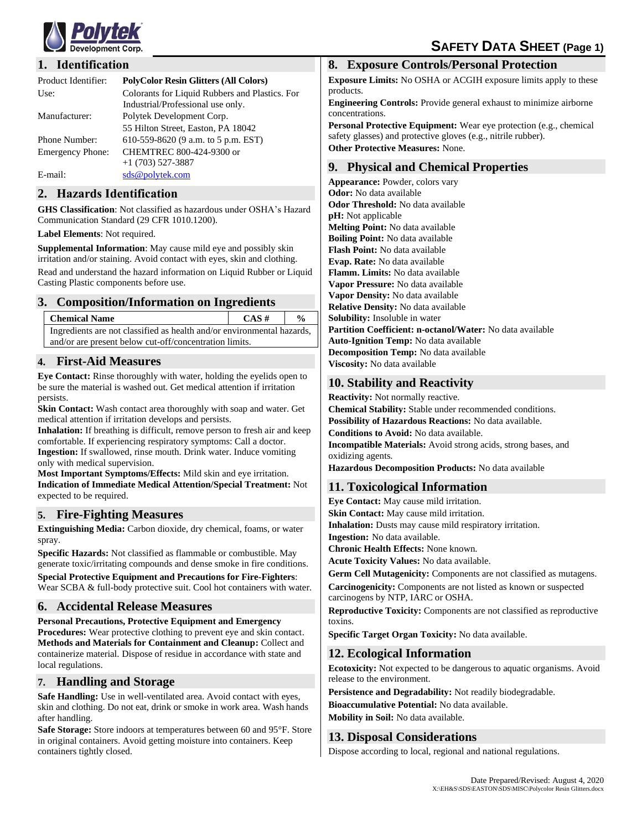

## **1. Identification**

| Product Identifier:     | <b>PolyColor Resin Glitters (All Colors)</b>                                        |
|-------------------------|-------------------------------------------------------------------------------------|
| Use:                    | Colorants for Liquid Rubbers and Plastics. For<br>Industrial/Professional use only. |
| Manufacturer:           | Polytek Development Corp.                                                           |
|                         | 55 Hilton Street, Easton, PA 18042                                                  |
| <b>Phone Number:</b>    | 610-559-8620 (9 a.m. to 5 p.m. EST)                                                 |
| <b>Emergency Phone:</b> | CHEMTREC 800-424-9300 or                                                            |
|                         | $+1$ (703) 527-3887                                                                 |
| E-mail:                 | sds@polytek.com                                                                     |

#### **2. Hazards Identification**

**GHS Classification**: Not classified as hazardous under OSHA's Hazard Communication Standard (29 CFR 1010.1200).

#### **Label Elements**: Not required.

**Supplemental Information**: May cause mild eye and possibly skin irritation and/or staining. Avoid contact with eyes, skin and clothing. Read and understand the hazard information on Liquid Rubber or Liquid Casting Plastic components before use.

#### **3. Composition/Information on Ingredients**

| <b>Chemical Name</b>                                                   | $CAS \#$ | $\frac{6}{9}$ |  |
|------------------------------------------------------------------------|----------|---------------|--|
| Ingredients are not classified as health and/or environmental hazards, |          |               |  |
| and/or are present below cut-off/concentration limits.                 |          |               |  |

## **4. First-Aid Measures**

**Eye Contact:** Rinse thoroughly with water, holding the eyelids open to be sure the material is washed out. Get medical attention if irritation persists.

**Skin Contact:** Wash contact area thoroughly with soap and water. Get medical attention if irritation develops and persists.

**Inhalation:** If breathing is difficult, remove person to fresh air and keep comfortable. If experiencing respiratory symptoms: Call a doctor. **Ingestion:** If swallowed, rinse mouth. Drink water. Induce vomiting only with medical supervision.

**Most Important Symptoms/Effects:** Mild skin and eye irritation. **Indication of Immediate Medical Attention/Special Treatment:** Not expected to be required.

#### **5. Fire-Fighting Measures**

**Extinguishing Media:** Carbon dioxide, dry chemical, foams, or water spray.

**Specific Hazards:** Not classified as flammable or combustible. May generate toxic/irritating compounds and dense smoke in fire conditions.

**Special Protective Equipment and Precautions for Fire-Fighters**: Wear SCBA & full-body protective suit. Cool hot containers with water.

## **6. Accidental Release Measures**

**Personal Precautions, Protective Equipment and Emergency Procedures:** Wear protective clothing to prevent eye and skin contact. **Methods and Materials for Containment and Cleanup:** Collect and containerize material. Dispose of residue in accordance with state and local regulations.

## **7. Handling and Storage**

**Safe Handling:** Use in well-ventilated area. Avoid contact with eyes, skin and clothing. Do not eat, drink or smoke in work area. Wash hands after handling.

**Safe Storage:** Store indoors at temperatures between 60 and 95°F. Store in original containers. Avoid getting moisture into containers. Keep containers tightly closed.

#### **8. Exposure Controls/Personal Protection**

**Exposure Limits:** No OSHA or ACGIH exposure limits apply to these products.

**Engineering Controls:** Provide general exhaust to minimize airborne concentrations.

**Personal Protective Equipment:** Wear eye protection (e.g., chemical safety glasses) and protective gloves (e.g., nitrile rubber). **Other Protective Measures:** None.

# **9. Physical and Chemical Properties**

**Appearance:** Powder, colors vary **Odor:** No data available **Odor Threshold:** No data available **pH:** Not applicable **Melting Point:** No data available **Boiling Point:** No data available **Flash Point:** No data available **Evap. Rate:** No data available **Flamm. Limits:** No data available **Vapor Pressure:** No data available **Vapor Density:** No data available **Relative Density:** No data available **Solubility:** Insoluble in water **Partition Coefficient: n-octanol/Water:** No data available **Auto-Ignition Temp:** No data available **Decomposition Temp:** No data available **Viscosity:** No data available

## **10. Stability and Reactivity**

**Reactivity:** Not normally reactive.

**Chemical Stability:** Stable under recommended conditions.

**Possibility of Hazardous Reactions:** No data available.

**Conditions to Avoid:** No data available.

**Incompatible Materials:** Avoid strong acids, strong bases, and oxidizing agents.

**Hazardous Decomposition Products:** No data available

## **11. Toxicological Information**

**Eye Contact:** May cause mild irritation. **Skin Contact:** May cause mild irritation. **Inhalation:** Dusts may cause mild respiratory irritation. **Ingestion:** No data available. **Chronic Health Effects:** None known. **Acute Toxicity Values:** No data available. **Germ Cell Mutagenicity:** Components are not classified as mutagens.

**Carcinogenicity:** Components are not listed as known or suspected carcinogens by NTP, IARC or OSHA.

**Reproductive Toxicity:** Components are not classified as reproductive toxins.

**Specific Target Organ Toxicity:** No data available.

## **12. Ecological Information**

**Ecotoxicity:** Not expected to be dangerous to aquatic organisms. Avoid release to the environment.

**Persistence and Degradability:** Not readily biodegradable.

**Bioaccumulative Potential:** No data available.

**Mobility in Soil:** No data available.

# **13. Disposal Considerations**

Dispose according to local, regional and national regulations.